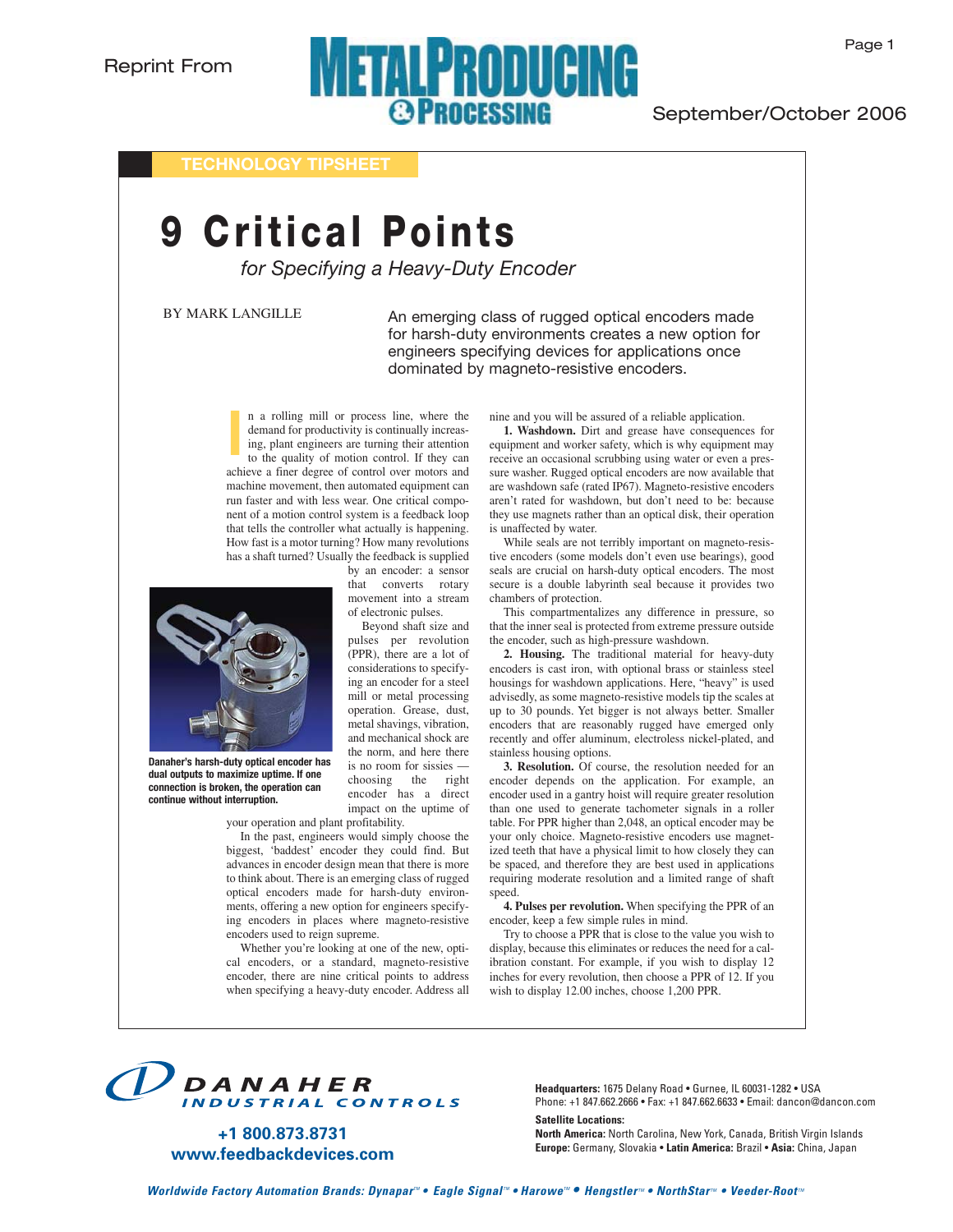## **METALPRODUCING @PROCESSING**

### September/October 2006

**TECHNOLOGY TIPSHEET**

# **9 Critical Points**

*for Specifying a Heavy-Duty Encoder*

BY MARK LANGILLE

An emerging class of rugged optical encoders made for harsh-duty environments creates a new option for engineers specifying devices for applications once dominated by magneto-resistive encoders.

n a rolling mill or process line, where the demand for productivity is continually increasing, plant engineers are turning their attention to the quality of motion control. If they can achieve a finer degree of control over motors and machine movement, then automated equipment can run faster and with less wear. One critical component of a motion control system is a feedback loop that tells the controller what actually is happening. How fast is a motor turning? How many revolutions has a shaft turned? Usually the feedback is supplied **l**



**Danaher's harsh-duty optical encoder has dual outputs to maximize uptime. If one connection is broken, the operation can continue without interruption.**

your operation and plant profitability.

In the past, engineers would simply choose the biggest, 'baddest' encoder they could find. But advances in encoder design mean that there is more to think about. There is an emerging class of rugged optical encoders made for harsh-duty environments, offering a new option for engineers specifying encoders in places where magneto-resistive encoders used to reign supreme.

Whether you're looking at one of the new, optical encoders, or a standard, magneto-resistive encoder, there are nine critical points to address when specifying a heavy-duty encoder. Address all nine and you will be assured of a reliable application.

**1. Washdown.** Dirt and grease have consequences for equipment and worker safety, which is why equipment may receive an occasional scrubbing using water or even a pressure washer. Rugged optical encoders are now available that are washdown safe (rated IP67). Magneto-resistive encoders aren't rated for washdown, but don't need to be: because they use magnets rather than an optical disk, their operation is unaffected by water.

While seals are not terribly important on magneto-resistive encoders (some models don't even use bearings), good seals are crucial on harsh-duty optical encoders. The most secure is a double labyrinth seal because it provides two chambers of protection.

This compartmentalizes any difference in pressure, so that the inner seal is protected from extreme pressure outside the encoder, such as high-pressure washdown.

**2. Housing.** The traditional material for heavy-duty encoders is cast iron, with optional brass or stainless steel housings for washdown applications. Here, "heavy" is used advisedly, as some magneto-resistive models tip the scales at up to 30 pounds. Yet bigger is not always better. Smaller encoders that are reasonably rugged have emerged only recently and offer aluminum, electroless nickel-plated, and stainless housing options.

**3. Resolution.** Of course, the resolution needed for an encoder depends on the application. For example, an encoder used in a gantry hoist will require greater resolution than one used to generate tachometer signals in a roller table. For PPR higher than 2,048, an optical encoder may be your only choice. Magneto-resistive encoders use magnetized teeth that have a physical limit to how closely they can be spaced, and therefore they are best used in applications requiring moderate resolution and a limited range of shaft speed.

**4. Pulses per revolution.** When specifying the PPR of an encoder, keep a few simple rules in mind.

Try to choose a PPR that is close to the value you wish to display, because this eliminates or reduces the need for a calibration constant. For example, if you wish to display 12 inches for every revolution, then choose a PPR of 12. If you wish to display 12.00 inches, choose 1,200 PPR.



**+1 800.873.8731 www.feedbackdevices.com** **Headquarters:** 1675 Delany Road • Gurnee, IL 60031-1282 • USA Phone: +1 847.662.2666 • Fax: +1 847.662.6633 • Email: dancon@dancon.com

**Satellite Locations: North America:** North Carolina, New York, Canada, British Virgin Islands **Europe:** Germany, Slovakia • **Latin America:** Brazil • **Asia:** China, Japan

by an encoder: a sensor that converts rotary movement into a stream of electronic pulses. Beyond shaft size and

pulses per revolution (PPR), there are a lot of considerations to specifying an encoder for a steel mill or metal processing operation. Grease, dust, metal shavings, vibration, and mechanical shock are the norm, and here there is no room for sissies choosing the right encoder has a direct impact on the uptime of